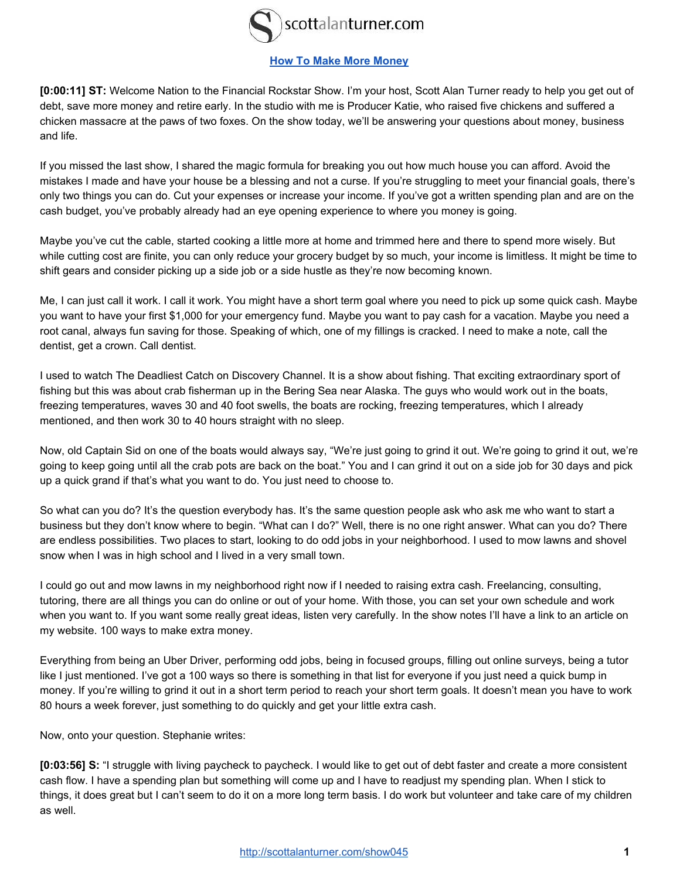

# **[How To Make More Money](http://scottalanturner.com/show045)**

**[0:00:11] ST:** Welcome Nation to the Financial Rockstar Show. I'm your host, Scott Alan Turner ready to help you get out of debt, save more money and retire early. In the studio with me is Producer Katie, who raised five chickens and suffered a chicken massacre at the paws of two foxes. On the show today, we'll be answering your questions about money, business and life.

If you missed the last show, I shared the magic formula for breaking you out how much house you can afford. Avoid the mistakes I made and have your house be a blessing and not a curse. If you're struggling to meet your financial goals, there's only two things you can do. Cut your expenses or increase your income. If you've got a written spending plan and are on the cash budget, you've probably already had an eye opening experience to where you money is going.

Maybe you've cut the cable, started cooking a little more at home and trimmed here and there to spend more wisely. But while cutting cost are finite, you can only reduce your grocery budget by so much, your income is limitless. It might be time to shift gears and consider picking up a side job or a side hustle as they're now becoming known.

Me, I can just call it work. I call it work. You might have a short term goal where you need to pick up some quick cash. Maybe you want to have your first \$1,000 for your emergency fund. Maybe you want to pay cash for a vacation. Maybe you need a root canal, always fun saving for those. Speaking of which, one of my fillings is cracked. I need to make a note, call the dentist, get a crown. Call dentist.

I used to watch The Deadliest Catch on Discovery Channel. It is a show about fishing. That exciting extraordinary sport of fishing but this was about crab fisherman up in the Bering Sea near Alaska. The guys who would work out in the boats, freezing temperatures, waves 30 and 40 foot swells, the boats are rocking, freezing temperatures, which I already mentioned, and then work 30 to 40 hours straight with no sleep.

Now, old Captain Sid on one of the boats would always say, "We're just going to grind it out. We're going to grind it out, we're going to keep going until all the crab pots are back on the boat." You and I can grind it out on a side job for 30 days and pick up a quick grand if that's what you want to do. You just need to choose to.

So what can you do? It's the question everybody has. It's the same question people ask who ask me who want to start a business but they don't know where to begin. "What can I do?" Well, there is no one right answer. What can you do? There are endless possibilities. Two places to start, looking to do odd jobs in your neighborhood. I used to mow lawns and shovel snow when I was in high school and I lived in a very small town.

I could go out and mow lawns in my neighborhood right now if I needed to raising extra cash. Freelancing, consulting, tutoring, there are all things you can do online or out of your home. With those, you can set your own schedule and work when you want to. If you want some really great ideas, listen very carefully. In the show notes I'll have a link to an article on my website. 100 ways to make extra money.

Everything from being an Uber Driver, performing odd jobs, being in focused groups, filling out online surveys, being a tutor like I just mentioned. I've got a 100 ways so there is something in that list for everyone if you just need a quick bump in money. If you're willing to grind it out in a short term period to reach your short term goals. It doesn't mean you have to work 80 hours a week forever, just something to do quickly and get your little extra cash.

Now, onto your question. Stephanie writes:

**[0:03:56] S:** "I struggle with living paycheck to paycheck. I would like to get out of debt faster and create a more consistent cash flow. I have a spending plan but something will come up and I have to readjust my spending plan. When I stick to things, it does great but I can't seem to do it on a more long term basis. I do work but volunteer and take care of my children as well.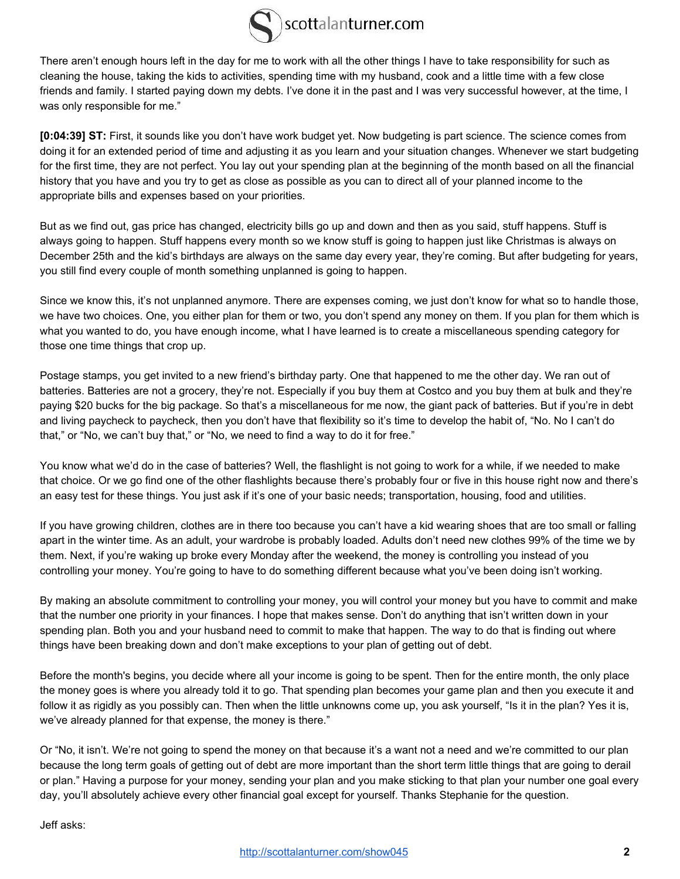

There aren't enough hours left in the day for me to work with all the other things I have to take responsibility for such as cleaning the house, taking the kids to activities, spending time with my husband, cook and a little time with a few close friends and family. I started paying down my debts. I've done it in the past and I was very successful however, at the time, I was only responsible for me."

**[0:04:39] ST:** First, it sounds like you don't have work budget yet. Now budgeting is part science. The science comes from doing it for an extended period of time and adjusting it as you learn and your situation changes. Whenever we start budgeting for the first time, they are not perfect. You lay out your spending plan at the beginning of the month based on all the financial history that you have and you try to get as close as possible as you can to direct all of your planned income to the appropriate bills and expenses based on your priorities.

But as we find out, gas price has changed, electricity bills go up and down and then as you said, stuff happens. Stuff is always going to happen. Stuff happens every month so we know stuff is going to happen just like Christmas is always on December 25th and the kid's birthdays are always on the same day every year, they're coming. But after budgeting for years, you still find every couple of month something unplanned is going to happen.

Since we know this, it's not unplanned anymore. There are expenses coming, we just don't know for what so to handle those, we have two choices. One, you either plan for them or two, you don't spend any money on them. If you plan for them which is what you wanted to do, you have enough income, what I have learned is to create a miscellaneous spending category for those one time things that crop up.

Postage stamps, you get invited to a new friend's birthday party. One that happened to me the other day. We ran out of batteries. Batteries are not a grocery, they're not. Especially if you buy them at Costco and you buy them at bulk and they're paying \$20 bucks for the big package. So that's a miscellaneous for me now, the giant pack of batteries. But if you're in debt and living paycheck to paycheck, then you don't have that flexibility so it's time to develop the habit of, "No. No I can't do that," or "No, we can't buy that," or "No, we need to find a way to do it for free."

You know what we'd do in the case of batteries? Well, the flashlight is not going to work for a while, if we needed to make that choice. Or we go find one of the other flashlights because there's probably four or five in this house right now and there's an easy test for these things. You just ask if it's one of your basic needs; transportation, housing, food and utilities.

If you have growing children, clothes are in there too because you can't have a kid wearing shoes that are too small or falling apart in the winter time. As an adult, your wardrobe is probably loaded. Adults don't need new clothes 99% of the time we by them. Next, if you're waking up broke every Monday after the weekend, the money is controlling you instead of you controlling your money. You're going to have to do something different because what you've been doing isn't working.

By making an absolute commitment to controlling your money, you will control your money but you have to commit and make that the number one priority in your finances. I hope that makes sense. Don't do anything that isn't written down in your spending plan. Both you and your husband need to commit to make that happen. The way to do that is finding out where things have been breaking down and don't make exceptions to your plan of getting out of debt.

Before the month's begins, you decide where all your income is going to be spent. Then for the entire month, the only place the money goes is where you already told it to go. That spending plan becomes your game plan and then you execute it and follow it as rigidly as you possibly can. Then when the little unknowns come up, you ask yourself, "Is it in the plan? Yes it is, we've already planned for that expense, the money is there."

Or "No, it isn't. We're not going to spend the money on that because it's a want not a need and we're committed to our plan because the long term goals of getting out of debt are more important than the short term little things that are going to derail or plan." Having a purpose for your money, sending your plan and you make sticking to that plan your number one goal every day, you'll absolutely achieve every other financial goal except for yourself. Thanks Stephanie for the question.

Jeff asks: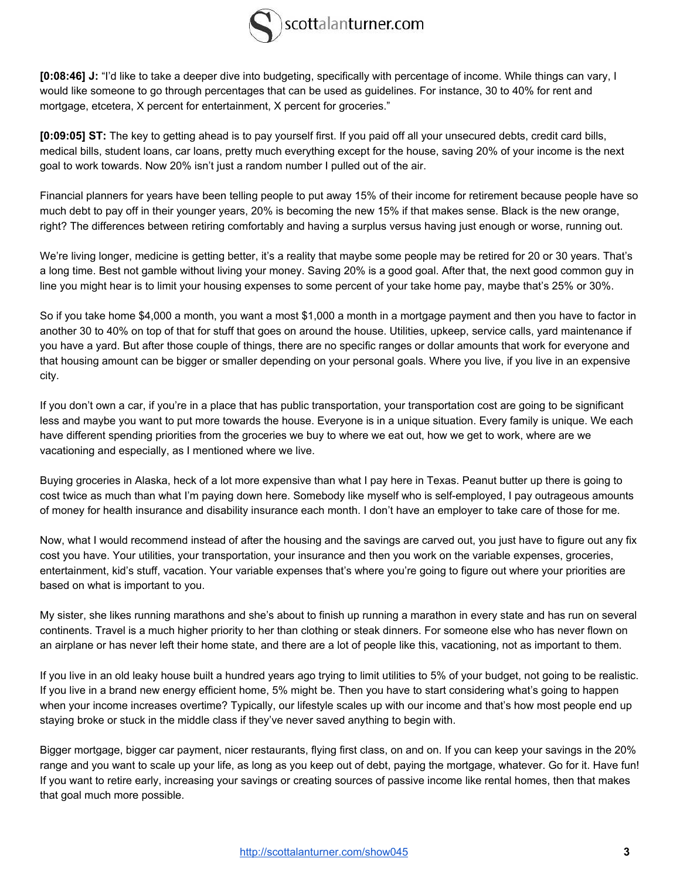

**[0:08:46] J:** "I'd like to take a deeper dive into budgeting, specifically with percentage of income. While things can vary, I would like someone to go through percentages that can be used as guidelines. For instance, 30 to 40% for rent and mortgage, etcetera, X percent for entertainment, X percent for groceries."

**[0:09:05] ST:** The key to getting ahead is to pay yourself first. If you paid off all your unsecured debts, credit card bills, medical bills, student loans, car loans, pretty much everything except for the house, saving 20% of your income is the next goal to work towards. Now 20% isn't just a random number I pulled out of the air.

Financial planners for years have been telling people to put away 15% of their income for retirement because people have so much debt to pay off in their younger years, 20% is becoming the new 15% if that makes sense. Black is the new orange, right? The differences between retiring comfortably and having a surplus versus having just enough or worse, running out.

We're living longer, medicine is getting better, it's a reality that maybe some people may be retired for 20 or 30 years. That's a long time. Best not gamble without living your money. Saving 20% is a good goal. After that, the next good common guy in line you might hear is to limit your housing expenses to some percent of your take home pay, maybe that's 25% or 30%.

So if you take home \$4,000 a month, you want a most \$1,000 a month in a mortgage payment and then you have to factor in another 30 to 40% on top of that for stuff that goes on around the house. Utilities, upkeep, service calls, yard maintenance if you have a yard. But after those couple of things, there are no specific ranges or dollar amounts that work for everyone and that housing amount can be bigger or smaller depending on your personal goals. Where you live, if you live in an expensive city.

If you don't own a car, if you're in a place that has public transportation, your transportation cost are going to be significant less and maybe you want to put more towards the house. Everyone is in a unique situation. Every family is unique. We each have different spending priorities from the groceries we buy to where we eat out, how we get to work, where are we vacationing and especially, as I mentioned where we live.

Buying groceries in Alaska, heck of a lot more expensive than what I pay here in Texas. Peanut butter up there is going to cost twice as much than what I'm paying down here. Somebody like myself who is self-employed, I pay outrageous amounts of money for health insurance and disability insurance each month. I don't have an employer to take care of those for me.

Now, what I would recommend instead of after the housing and the savings are carved out, you just have to figure out any fix cost you have. Your utilities, your transportation, your insurance and then you work on the variable expenses, groceries, entertainment, kid's stuff, vacation. Your variable expenses that's where you're going to figure out where your priorities are based on what is important to you.

My sister, she likes running marathons and she's about to finish up running a marathon in every state and has run on several continents. Travel is a much higher priority to her than clothing or steak dinners. For someone else who has never flown on an airplane or has never left their home state, and there are a lot of people like this, vacationing, not as important to them.

If you live in an old leaky house built a hundred years ago trying to limit utilities to 5% of your budget, not going to be realistic. If you live in a brand new energy efficient home, 5% might be. Then you have to start considering what's going to happen when your income increases overtime? Typically, our lifestyle scales up with our income and that's how most people end up staying broke or stuck in the middle class if they've never saved anything to begin with.

Bigger mortgage, bigger car payment, nicer restaurants, flying first class, on and on. If you can keep your savings in the 20% range and you want to scale up your life, as long as you keep out of debt, paying the mortgage, whatever. Go for it. Have fun! If you want to retire early, increasing your savings or creating sources of passive income like rental homes, then that makes that goal much more possible.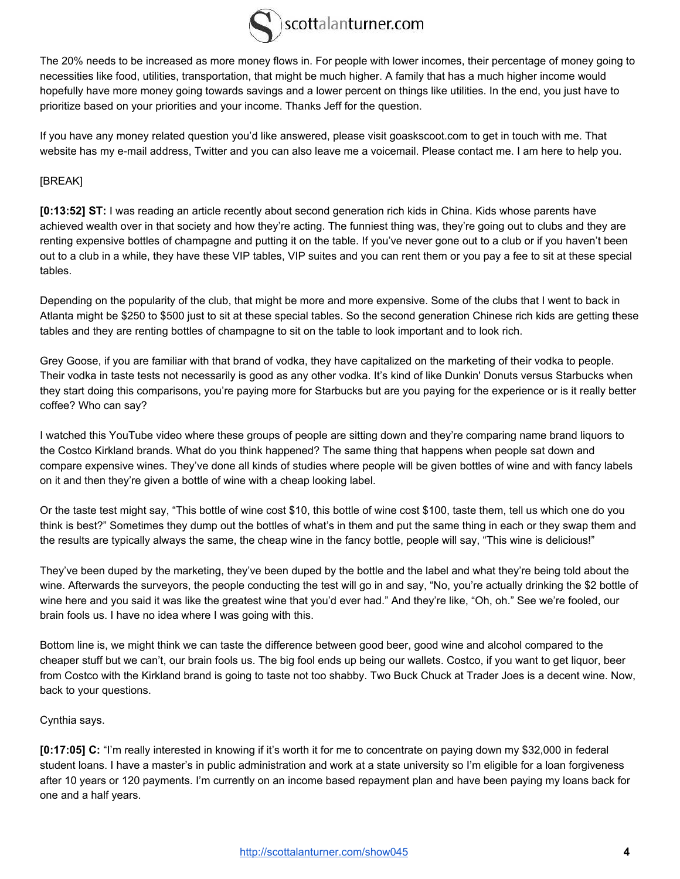

The 20% needs to be increased as more money flows in. For people with lower incomes, their percentage of money going to necessities like food, utilities, transportation, that might be much higher. A family that has a much higher income would hopefully have more money going towards savings and a lower percent on things like utilities. In the end, you just have to prioritize based on your priorities and your income. Thanks Jeff for the question.

If you have any money related question you'd like answered, please visit goaskscoot.com to get in touch with me. That website has my e-mail address, Twitter and you can also leave me a voicemail. Please contact me. I am here to help you.

### [BREAK]

**[0:13:52] ST:** I was reading an article recently about second generation rich kids in China. Kids whose parents have achieved wealth over in that society and how they're acting. The funniest thing was, they're going out to clubs and they are renting expensive bottles of champagne and putting it on the table. If you've never gone out to a club or if you haven't been out to a club in a while, they have these VIP tables, VIP suites and you can rent them or you pay a fee to sit at these special tables.

Depending on the popularity of the club, that might be more and more expensive. Some of the clubs that I went to back in Atlanta might be \$250 to \$500 just to sit at these special tables. So the second generation Chinese rich kids are getting these tables and they are renting bottles of champagne to sit on the table to look important and to look rich.

Grey Goose, if you are familiar with that brand of vodka, they have capitalized on the marketing of their vodka to people. Their vodka in taste tests not necessarily is good as any other vodka. It's kind of like Dunkin' Donuts versus Starbucks when they start doing this comparisons, you're paying more for Starbucks but are you paying for the experience or is it really better coffee? Who can say?

I watched this YouTube video where these groups of people are sitting down and they're comparing name brand liquors to the Costco Kirkland brands. What do you think happened? The same thing that happens when people sat down and compare expensive wines. They've done all kinds of studies where people will be given bottles of wine and with fancy labels on it and then they're given a bottle of wine with a cheap looking label.

Or the taste test might say, "This bottle of wine cost \$10, this bottle of wine cost \$100, taste them, tell us which one do you think is best?" Sometimes they dump out the bottles of what's in them and put the same thing in each or they swap them and the results are typically always the same, the cheap wine in the fancy bottle, people will say, "This wine is delicious!"

They've been duped by the marketing, they've been duped by the bottle and the label and what they're being told about the wine. Afterwards the surveyors, the people conducting the test will go in and say, "No, you're actually drinking the \$2 bottle of wine here and you said it was like the greatest wine that you'd ever had." And they're like, "Oh, oh." See we're fooled, our brain fools us. I have no idea where I was going with this.

Bottom line is, we might think we can taste the difference between good beer, good wine and alcohol compared to the cheaper stuff but we can't, our brain fools us. The big fool ends up being our wallets. Costco, if you want to get liquor, beer from Costco with the Kirkland brand is going to taste not too shabby. Two Buck Chuck at Trader Joes is a decent wine. Now, back to your questions.

#### Cynthia says.

**[0:17:05] C:** "I'm really interested in knowing if it's worth it for me to concentrate on paying down my \$32,000 in federal student loans. I have a master's in public administration and work at a state university so I'm eligible for a loan forgiveness after 10 years or 120 payments. I'm currently on an income based repayment plan and have been paying my loans back for one and a half years.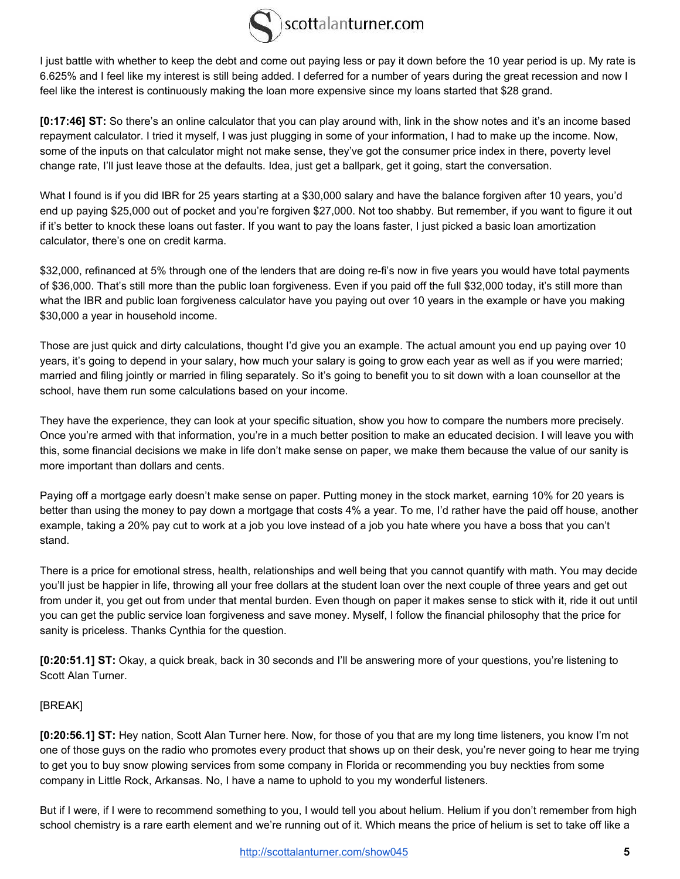

I just battle with whether to keep the debt and come out paying less or pay it down before the 10 year period is up. My rate is 6.625% and I feel like my interest is still being added. I deferred for a number of years during the great recession and now I feel like the interest is continuously making the loan more expensive since my loans started that \$28 grand.

**[0:17:46] ST:** So there's an online calculator that you can play around with, link in the show notes and it's an income based repayment calculator. I tried it myself, I was just plugging in some of your information, I had to make up the income. Now, some of the inputs on that calculator might not make sense, they've got the consumer price index in there, poverty level change rate, I'll just leave those at the defaults. Idea, just get a ballpark, get it going, start the conversation.

What I found is if you did IBR for 25 years starting at a \$30,000 salary and have the balance forgiven after 10 years, you'd end up paying \$25,000 out of pocket and you're forgiven \$27,000. Not too shabby. But remember, if you want to figure it out if it's better to knock these loans out faster. If you want to pay the loans faster, I just picked a basic loan amortization calculator, there's one on credit karma.

\$32,000, refinanced at 5% through one of the lenders that are doing re-fi's now in five years you would have total payments of \$36,000. That's still more than the public loan forgiveness. Even if you paid off the full \$32,000 today, it's still more than what the IBR and public loan forgiveness calculator have you paying out over 10 years in the example or have you making \$30,000 a year in household income.

Those are just quick and dirty calculations, thought I'd give you an example. The actual amount you end up paying over 10 years, it's going to depend in your salary, how much your salary is going to grow each year as well as if you were married; married and filing jointly or married in filing separately. So it's going to benefit you to sit down with a loan counsellor at the school, have them run some calculations based on your income.

They have the experience, they can look at your specific situation, show you how to compare the numbers more precisely. Once you're armed with that information, you're in a much better position to make an educated decision. I will leave you with this, some financial decisions we make in life don't make sense on paper, we make them because the value of our sanity is more important than dollars and cents.

Paying off a mortgage early doesn't make sense on paper. Putting money in the stock market, earning 10% for 20 years is better than using the money to pay down a mortgage that costs 4% a year. To me, I'd rather have the paid off house, another example, taking a 20% pay cut to work at a job you love instead of a job you hate where you have a boss that you can't stand.

There is a price for emotional stress, health, relationships and well being that you cannot quantify with math. You may decide you'll just be happier in life, throwing all your free dollars at the student loan over the next couple of three years and get out from under it, you get out from under that mental burden. Even though on paper it makes sense to stick with it, ride it out until you can get the public service loan forgiveness and save money. Myself, I follow the financial philosophy that the price for sanity is priceless. Thanks Cynthia for the question.

**[0:20:51.1] ST:** Okay, a quick break, back in 30 seconds and I'll be answering more of your questions, you're listening to Scott Alan Turner.

### [BREAK]

**[0:20:56.1] ST:** Hey nation, Scott Alan Turner here. Now, for those of you that are my long time listeners, you know I'm not one of those guys on the radio who promotes every product that shows up on their desk, you're never going to hear me trying to get you to buy snow plowing services from some company in Florida or recommending you buy neckties from some company in Little Rock, Arkansas. No, I have a name to uphold to you my wonderful listeners.

But if I were, if I were to recommend something to you, I would tell you about helium. Helium if you don't remember from high school chemistry is a rare earth element and we're running out of it. Which means the price of helium is set to take off like a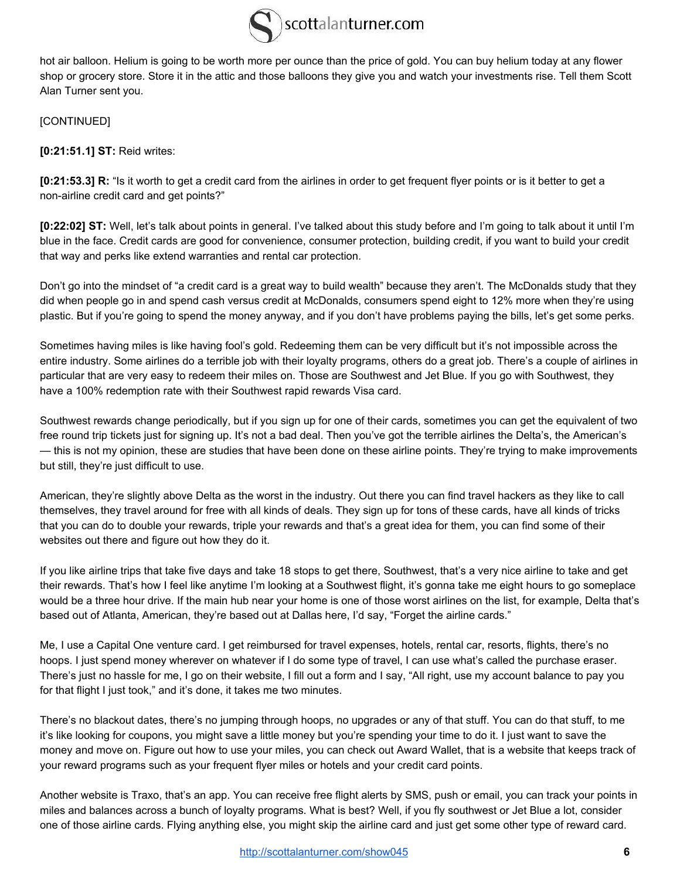

hot air balloon. Helium is going to be worth more per ounce than the price of gold. You can buy helium today at any flower shop or grocery store. Store it in the attic and those balloons they give you and watch your investments rise. Tell them Scott Alan Turner sent you.

[CONTINUED]

**[0:21:51.1] ST:** Reid writes:

**[0:21:53.3] R:** "Is it worth to get a credit card from the airlines in order to get frequent flyer points or is it better to get a non-airline credit card and get points?"

**[0:22:02] ST:** Well, let's talk about points in general. I've talked about this study before and I'm going to talk about it until I'm blue in the face. Credit cards are good for convenience, consumer protection, building credit, if you want to build your credit that way and perks like extend warranties and rental car protection.

Don't go into the mindset of "a credit card is a great way to build wealth" because they aren't. The McDonalds study that they did when people go in and spend cash versus credit at McDonalds, consumers spend eight to 12% more when they're using plastic. But if you're going to spend the money anyway, and if you don't have problems paying the bills, let's get some perks.

Sometimes having miles is like having fool's gold. Redeeming them can be very difficult but it's not impossible across the entire industry. Some airlines do a terrible job with their loyalty programs, others do a great job. There's a couple of airlines in particular that are very easy to redeem their miles on. Those are Southwest and Jet Blue. If you go with Southwest, they have a 100% redemption rate with their Southwest rapid rewards Visa card.

Southwest rewards change periodically, but if you sign up for one of their cards, sometimes you can get the equivalent of two free round trip tickets just for signing up. It's not a bad deal. Then you've got the terrible airlines the Delta's, the American's — this is not my opinion, these are studies that have been done on these airline points. They're trying to make improvements but still, they're just difficult to use.

American, they're slightly above Delta as the worst in the industry. Out there you can find travel hackers as they like to call themselves, they travel around for free with all kinds of deals. They sign up for tons of these cards, have all kinds of tricks that you can do to double your rewards, triple your rewards and that's a great idea for them, you can find some of their websites out there and figure out how they do it.

If you like airline trips that take five days and take 18 stops to get there, Southwest, that's a very nice airline to take and get their rewards. That's how I feel like anytime I'm looking at a Southwest flight, it's gonna take me eight hours to go someplace would be a three hour drive. If the main hub near your home is one of those worst airlines on the list, for example, Delta that's based out of Atlanta, American, they're based out at Dallas here, I'd say, "Forget the airline cards."

Me, I use a Capital One venture card. I get reimbursed for travel expenses, hotels, rental car, resorts, flights, there's no hoops. I just spend money wherever on whatever if I do some type of travel, I can use what's called the purchase eraser. There's just no hassle for me, I go on their website, I fill out a form and I say, "All right, use my account balance to pay you for that flight I just took," and it's done, it takes me two minutes.

There's no blackout dates, there's no jumping through hoops, no upgrades or any of that stuff. You can do that stuff, to me it's like looking for coupons, you might save a little money but you're spending your time to do it. I just want to save the money and move on. Figure out how to use your miles, you can check out Award Wallet, that is a website that keeps track of your reward programs such as your frequent flyer miles or hotels and your credit card points.

Another website is Traxo, that's an app. You can receive free flight alerts by SMS, push or email, you can track your points in miles and balances across a bunch of loyalty programs. What is best? Well, if you fly southwest or Jet Blue a lot, consider one of those airline cards. Flying anything else, you might skip the airline card and just get some other type of reward card.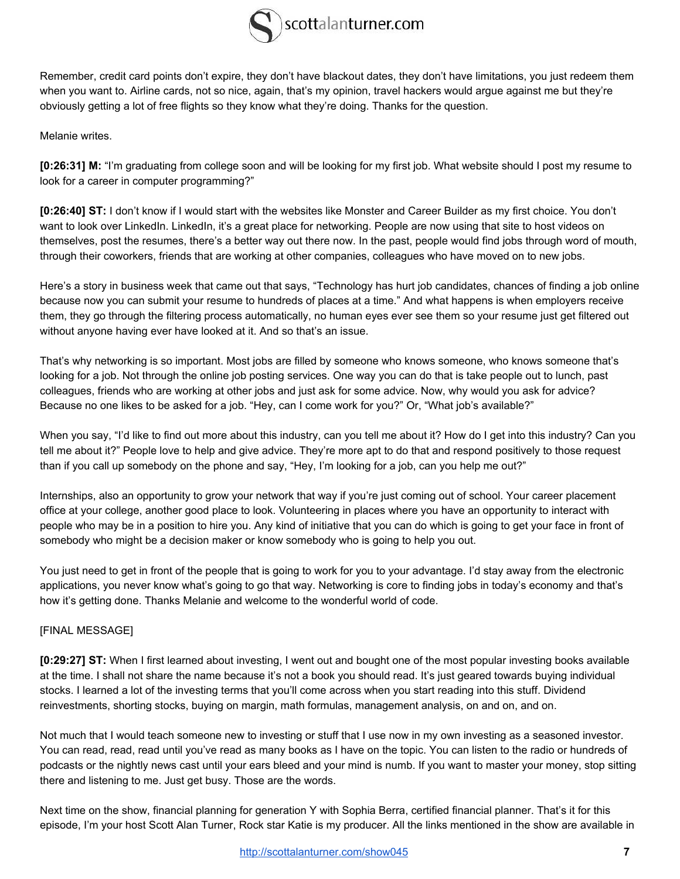

Remember, credit card points don't expire, they don't have blackout dates, they don't have limitations, you just redeem them when you want to. Airline cards, not so nice, again, that's my opinion, travel hackers would argue against me but they're obviously getting a lot of free flights so they know what they're doing. Thanks for the question.

Melanie writes.

**[0:26:31] M:** "I'm graduating from college soon and will be looking for my first job. What website should I post my resume to look for a career in computer programming?"

**[0:26:40] ST:** I don't know if I would start with the websites like Monster and Career Builder as my first choice. You don't want to look over LinkedIn. LinkedIn, it's a great place for networking. People are now using that site to host videos on themselves, post the resumes, there's a better way out there now. In the past, people would find jobs through word of mouth, through their coworkers, friends that are working at other companies, colleagues who have moved on to new jobs.

Here's a story in business week that came out that says, "Technology has hurt job candidates, chances of finding a job online because now you can submit your resume to hundreds of places at a time." And what happens is when employers receive them, they go through the filtering process automatically, no human eyes ever see them so your resume just get filtered out without anyone having ever have looked at it. And so that's an issue.

That's why networking is so important. Most jobs are filled by someone who knows someone, who knows someone that's looking for a job. Not through the online job posting services. One way you can do that is take people out to lunch, past colleagues, friends who are working at other jobs and just ask for some advice. Now, why would you ask for advice? Because no one likes to be asked for a job. "Hey, can I come work for you?" Or, "What job's available?"

When you say, "I'd like to find out more about this industry, can you tell me about it? How do I get into this industry? Can you tell me about it?" People love to help and give advice. They're more apt to do that and respond positively to those request than if you call up somebody on the phone and say, "Hey, I'm looking for a job, can you help me out?"

Internships, also an opportunity to grow your network that way if you're just coming out of school. Your career placement office at your college, another good place to look. Volunteering in places where you have an opportunity to interact with people who may be in a position to hire you. Any kind of initiative that you can do which is going to get your face in front of somebody who might be a decision maker or know somebody who is going to help you out.

You just need to get in front of the people that is going to work for you to your advantage. I'd stay away from the electronic applications, you never know what's going to go that way. Networking is core to finding jobs in today's economy and that's how it's getting done. Thanks Melanie and welcome to the wonderful world of code.

## [FINAL MESSAGE]

**[0:29:27] ST:** When I first learned about investing, I went out and bought one of the most popular investing books available at the time. I shall not share the name because it's not a book you should read. It's just geared towards buying individual stocks. I learned a lot of the investing terms that you'll come across when you start reading into this stuff. Dividend reinvestments, shorting stocks, buying on margin, math formulas, management analysis, on and on, and on.

Not much that I would teach someone new to investing or stuff that I use now in my own investing as a seasoned investor. You can read, read, read until you've read as many books as I have on the topic. You can listen to the radio or hundreds of podcasts or the nightly news cast until your ears bleed and your mind is numb. If you want to master your money, stop sitting there and listening to me. Just get busy. Those are the words.

Next time on the show, financial planning for generation Y with Sophia Berra, certified financial planner. That's it for this episode, I'm your host Scott Alan Turner, Rock star Katie is my producer. All the links mentioned in the show are available in